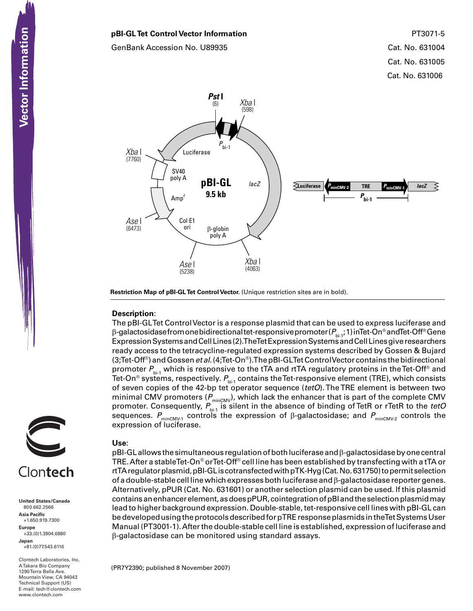

*lacZ*

*Xba* I (4063)

**Restriction Map of pBI-GL Tet Control Vector.** (Unique restriction sites are in bold).

**pBI-GL 9.5 kb**

> $\beta$ -globin poly A

Col E1 ori

*Ase* I (5238)

 $Amp$ 

poly A

#### **Description**:

*Ase* I (6473)

The pBI-GL Tet Control Vector is a response plasmid that can be used to express luciferase and β-galactosidase from one bidirectional tet-responsive promoter (*P*bi-1; 1) in Tet-On® and Tet-Off® Gene Expression Systems and Cell Lines (2). The Tet Expression Systems and Cell Lines give researchers ready access to the tetracycline-regulated expression systems described by Gossen & Bujard (3; Tet-Off®) and Gossen *et al.* (4; Tet-On®). The pBI-GL Tet Control Vector contains the bidirectional promoter  $P_{\text{b1-1}}$  which is responsive to the tTA and rtTA regulatory proteins in the Tet-Off<sup>®</sup> and Tet-On® systems, respectively. *P*<sub>bi-1</sub> contains the Tet-responsive element (TRE), which consists of seven copies of the 42-bp tet operator sequence (*tetO*). The TRE element is between two minimal CMV promoters ( $P_{_{\sf minCMV}}$ ), which lack the enhancer that is part of the complete CMV promoter. Consequently, *P*bi-1 is silent in the absence of binding of TetR or rTetR to the *tetO* sequences. *P<sub>minCMV-1</sub>* controls the expression of β-galactosidase; and *P<sub>minCMV-2</sub>* controls the expression of luciferase.



Clontech

**United States/Canada** 800.662.2566 **Asia Pacific** +1.650.919.7300 **Europe** +33.(0)1.3904.6880 **Japan** +81.(0)77.543.6116 **CONTECTS**<br>
United States/Cana<br>
800.662.2566<br>
Asia Pacific<br>
+1.650.919.7300<br>
Happe Europe<br>
+33.(0)1.3904.688<br>
Japan<br>
-81.(0)77.543.6116<br>
A Takara Bio Compa<br>
Mountain View, CA<br>
Hechnical Support (<br>
Hechnical Support (<br>
Hech

Clontech Laboratories, Inc. A Takara Bio Company 1290 Terra Bella Ave. Mountain View, CA 94043 Technical Support (US) E-mail: tech@clontech.com<br>www.clontech.com

# **Use**:

pBI-GL allows the simultaneous regulation of both luciferase and β-galactosidase by one central TRE. After a stable Tet-On<sup>®</sup> or Tet-Off<sup>®</sup> cell line has been established by transfecting with a tTA or rtTA regulator plasmid, pBI-GL is cotransfected with pTK-Hyg (Cat. No. 631750) to permit selection of a double-stable cell line which expresses both luciferase and β-galactosidase reporter genes. Alternatively, pPUR (Cat. No. 631601) or another selection plasmid can be used. If this plasmid contains an enhancer element, as does pPUR, cointegration of pBI and the selection plasmid may lead to higher background expression. Double-stable, tet-responsive cell lines with pBI-GL can be developed using the protocols described for pTRE response plasmids in the Tet Systems User Manual (PT3001-1). After the double-stable cell line is established, expression of luciferase and β-galactosidase can be monitored using standard assays.

(PR7Y2390; published 8 November 2007)

≳

Cat. No. 631005

Cat. No. 631006

*P* **TRE minCMV-1** *P***minCMV-2** *<sup>P</sup>***bi-1 Luciferase** *lacZ*